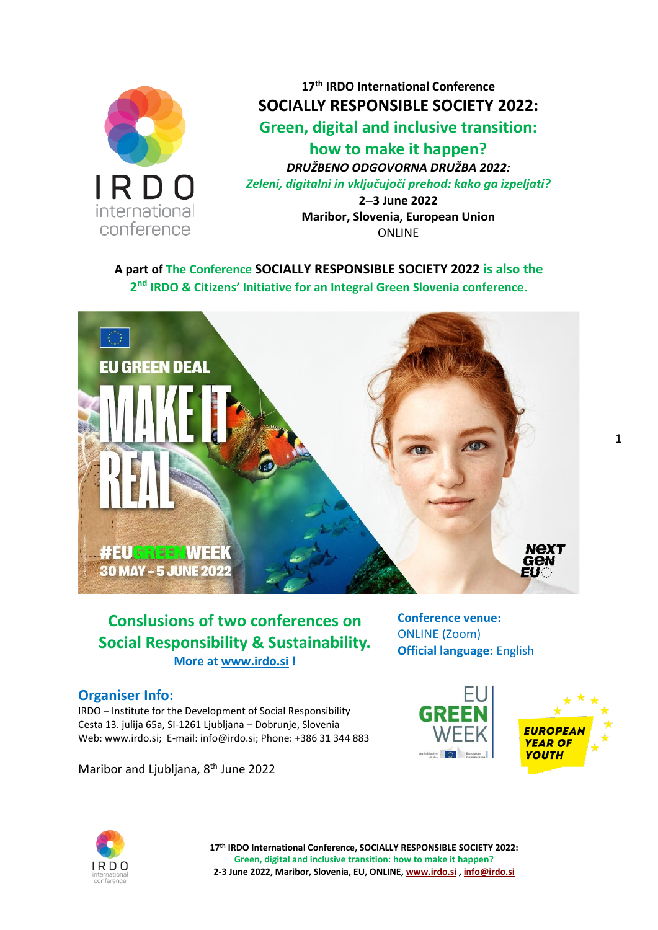

**17 th IRDO International Conference SOCIALLY RESPONSIBLE SOCIETY 2022: Green, digital and inclusive transition: how to make it happen?**

*DRUŽBENO ODGOVORNA DRUŽBA 2022: Zeleni, digitalni in vključujoči prehod: kako ga izpeljati?*

> **2**−**3 June 2022 Maribor, Slovenia, European Union** ONLINE

**A part of The Conference SOCIALLY RESPONSIBLE SOCIETY 2022 is also the 2 nd IRDO & Citizens' Initiative for an Integral Green Slovenia conference.**



# **Conslusions of two conferences on Social Responsibility & Sustainability. More at [www.irdo.si](http://www.irdo.si/) !**

#### **Organiser Info:**

IRDO – Institute for the Development of Social Responsibility Cesta 13. julija 65a, SI-1261 Ljubljana – Dobrunje, Slovenia Web: [www.irdo.si;](http://www.irdo.si/) E-mail: [info@irdo.si;](mailto:info@irdo.si) Phone: +386 31 344 883

Maribor and Ljubljana, 8<sup>th</sup> June 2022

**Conference venue:**  ONLINE (Zoom) **Official language:** English







**17th IRDO International Conference, SOCIALLY RESPONSIBLE SOCIETY 2022: Green, digital and inclusive transition: how to make it happen? 2-3 June 2022, Maribor, Slovenia, EU, ONLINE[, www.irdo.si](http://www.irdo.si/) [, info@irdo.si](mailto:info@irdo.si)**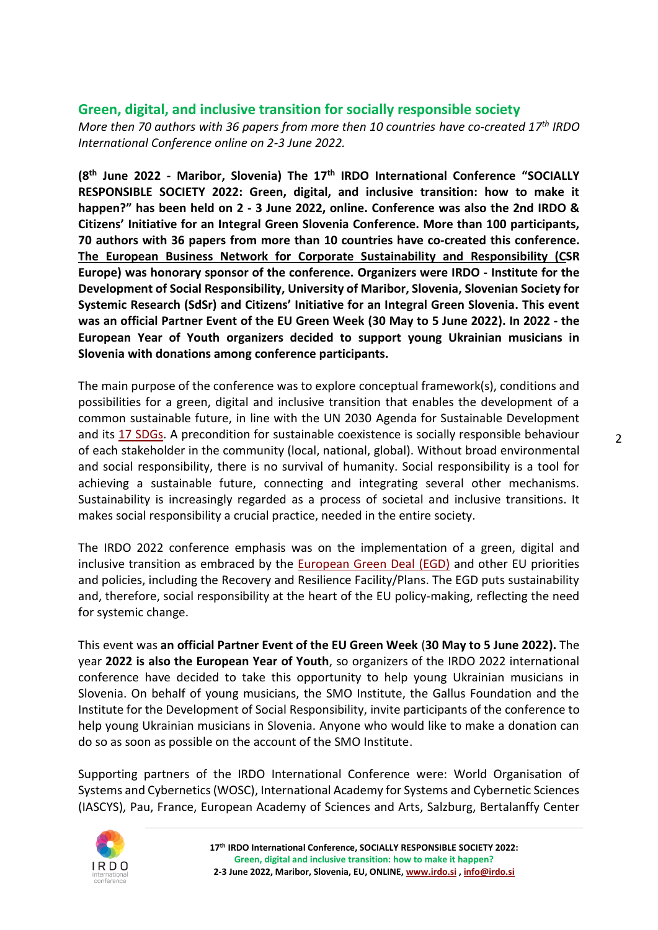### **Green, digital, and inclusive transition for socially responsible society**

*More then 70 authors with 36 papers from more then 10 countries have co-created 17th IRDO International Conference online on 2-3 June 2022.*

**(8 th June 2022 - Maribor, Slovenia) The 17 th IRDO International Conference "SOCIALLY RESPONSIBLE SOCIETY 2022: Green, digital, and inclusive transition: how to make it happen?" has been held on 2 - 3 June 2022, online. Conference was also the 2nd IRDO & Citizens' Initiative for an Integral Green Slovenia Conference. More than 100 participants, 70 authors with 36 papers from more than 10 countries have co-created this conference. [The European Business Network for Corporate Sustainability and Responsibility](https://www.csreurope.org/) (CSR Europe) was honorary sponsor of the conference. Organizers were IRDO - Institute for the Development of Social Responsibility, University of Maribor, Slovenia, Slovenian Society for Systemic Research (SdSr) and Citizens' Initiative for an Integral Green Slovenia. This event was an official Partner Event of the EU Green Week (30 May to 5 June 2022). In 2022 - the European Year of Youth organizers decided to support young Ukrainian musicians in Slovenia with donations among conference participants.** 

The main purpose of the conference was to explore conceptual framework(s), conditions and possibilities for a green, digital and inclusive transition that enables the development of a common sustainable future, in line with the UN 2030 Agenda for Sustainable Development and its [17 SDGs.](https://sdgs.un.org/goals) A precondition for sustainable coexistence is socially responsible behaviour of each stakeholder in the community (local, national, global). Without broad environmental and social responsibility, there is no survival of humanity. Social responsibility is a tool for achieving a sustainable future, connecting and integrating several other mechanisms. Sustainability is increasingly regarded as a process of societal and inclusive transitions. It makes social responsibility a crucial practice, needed in the entire society.

The IRDO 2022 conference emphasis was on the implementation of a green, digital and inclusive transition as embraced by the [European Green Deal \(EGD\)](https://ec.europa.eu/info/strategy/priorities-2019-2024/european-green-deal_en) and other EU priorities and policies, including the Recovery and Resilience Facility/Plans. The EGD puts sustainability and, therefore, social responsibility at the heart of the EU policy-making, reflecting the need for systemic change.

This event was **an official Partner Event of the EU Green Week** (**30 May to 5 June 2022).** The year **2022 is also the European Year of Youth**, so organizers of the IRDO 2022 international conference have decided to take this opportunity to help young Ukrainian musicians in Slovenia. On behalf of young musicians, the SMO Institute, the Gallus Foundation and the Institute for the Development of Social Responsibility, invite participants of the conference to help young Ukrainian musicians in Slovenia. Anyone who would like to make a donation can do so as soon as possible on the account of the SMO Institute.

Supporting partners of the IRDO International Conference were: World Organisation of Systems and Cybernetics (WOSC), International Academy for Systems and Cybernetic Sciences (IASCYS), Pau, France, European Academy of Sciences and Arts, Salzburg, Bertalanffy Center

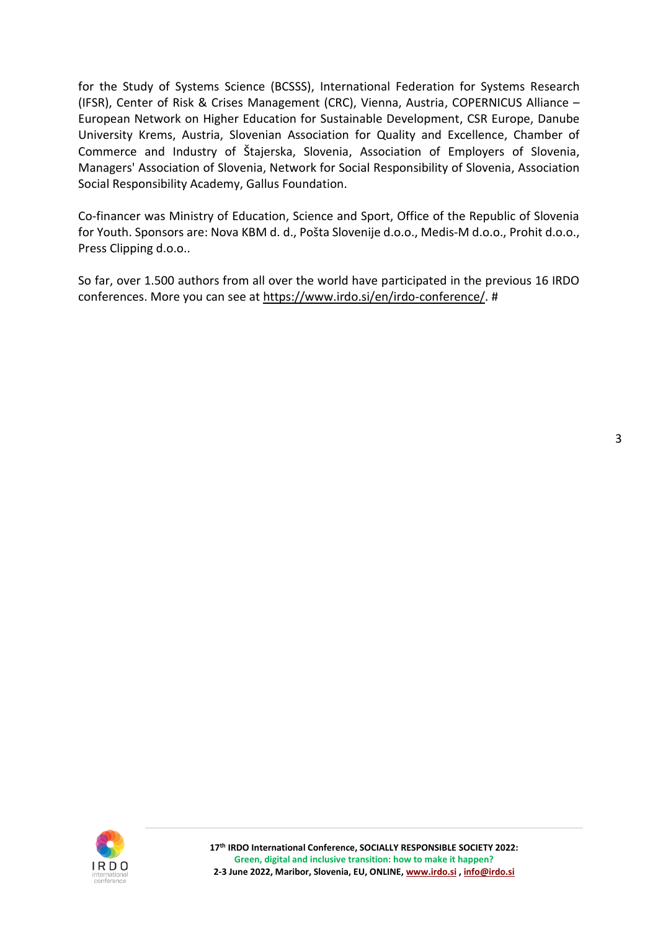for the Study of Systems Science (BCSSS), International Federation for Systems Research (IFSR), Center of Risk & Crises Management (CRC), Vienna, Austria, COPERNICUS Alliance – European Network on Higher Education for Sustainable Development, CSR Europe, Danube University Krems, Austria, Slovenian Association for Quality and Excellence, Chamber of Commerce and Industry of Štajerska, Slovenia, Association of Employers of Slovenia, Managers' Association of Slovenia, Network for Social Responsibility of Slovenia, Association Social Responsibility Academy, Gallus Foundation.

Co-financer was Ministry of Education, Science and Sport, Office of the Republic of Slovenia for Youth. Sponsors are: Nova KBM d. d., Pošta Slovenije d.o.o., Medis-M d.o.o., Prohit d.o.o., Press Clipping d.o.o..

So far, over 1.500 authors from all over the world have participated in the previous 16 IRDO conferences. More you can see at [https://www.irdo.si/en/irdo-conference/.](https://www.irdo.si/en/irdo-conference/) #

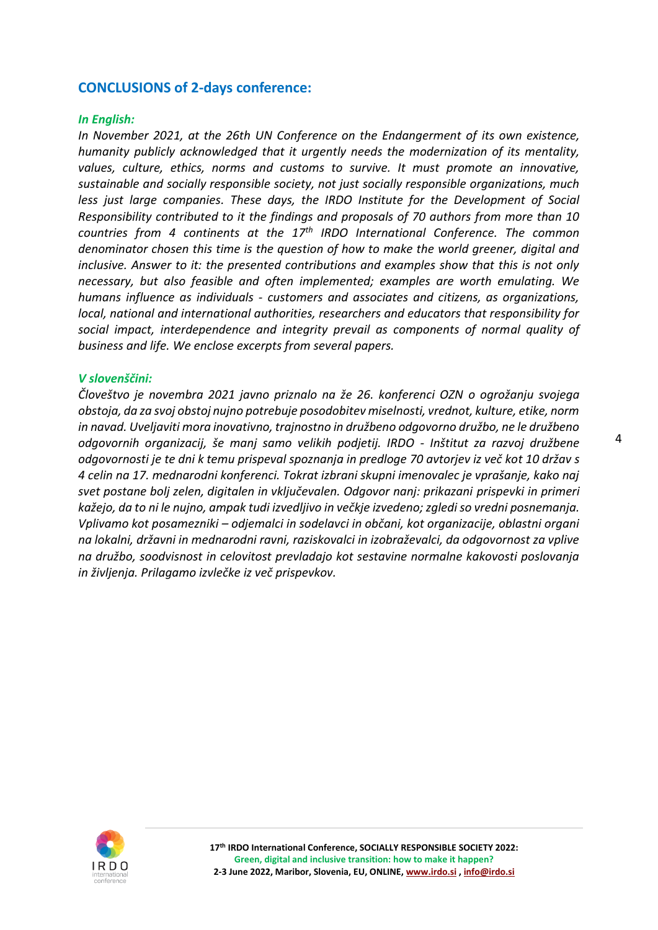#### **CONCLUSIONS of 2-days conference:**

#### *In English:*

*In November 2021, at the 26th UN Conference on the Endangerment of its own existence, humanity publicly acknowledged that it urgently needs the modernization of its mentality, values, culture, ethics, norms and customs to survive. It must promote an innovative, sustainable and socially responsible society, not just socially responsible organizations, much less just large companies. These days, the IRDO Institute for the Development of Social Responsibility contributed to it the findings and proposals of 70 authors from more than 10 countries from 4 continents at the 17th IRDO International Conference. The common denominator chosen this time is the question of how to make the world greener, digital and inclusive. Answer to it: the presented contributions and examples show that this is not only necessary, but also feasible and often implemented; examples are worth emulating. We humans influence as individuals - customers and associates and citizens, as organizations, local, national and international authorities, researchers and educators that responsibility for social impact, interdependence and integrity prevail as components of normal quality of business and life. We enclose excerpts from several papers.*

#### *V slovenščini:*

*Človeštvo je novembra 2021 javno priznalo na že 26. konferenci OZN o ogrožanju svojega obstoja, da za svoj obstoj nujno potrebuje posodobitev miselnosti, vrednot, kulture, etike, norm in navad. Uveljaviti mora inovativno, trajnostno in družbeno odgovorno družbo, ne le družbeno odgovornih organizacij, še manj samo velikih podjetij. IRDO - Inštitut za razvoj družbene odgovornosti je te dni k temu prispeval spoznanja in predloge 70 avtorjev iz več kot 10 držav s 4 celin na 17. mednarodni konferenci. Tokrat izbrani skupni imenovalec je vprašanje, kako naj svet postane bolj zelen, digitalen in vključevalen. Odgovor nanj: prikazani prispevki in primeri kažejo, da to ni le nujno, ampak tudi izvedljivo in večkje izvedeno; zgledi so vredni posnemanja. Vplivamo kot posamezniki – odjemalci in sodelavci in občani, kot organizacije, oblastni organi na lokalni, državni in mednarodni ravni, raziskovalci in izobraževalci, da odgovornost za vplive na družbo, soodvisnost in celovitost prevladajo kot sestavine normalne kakovosti poslovanja in življenja. Prilagamo izvlečke iz več prispevkov.*

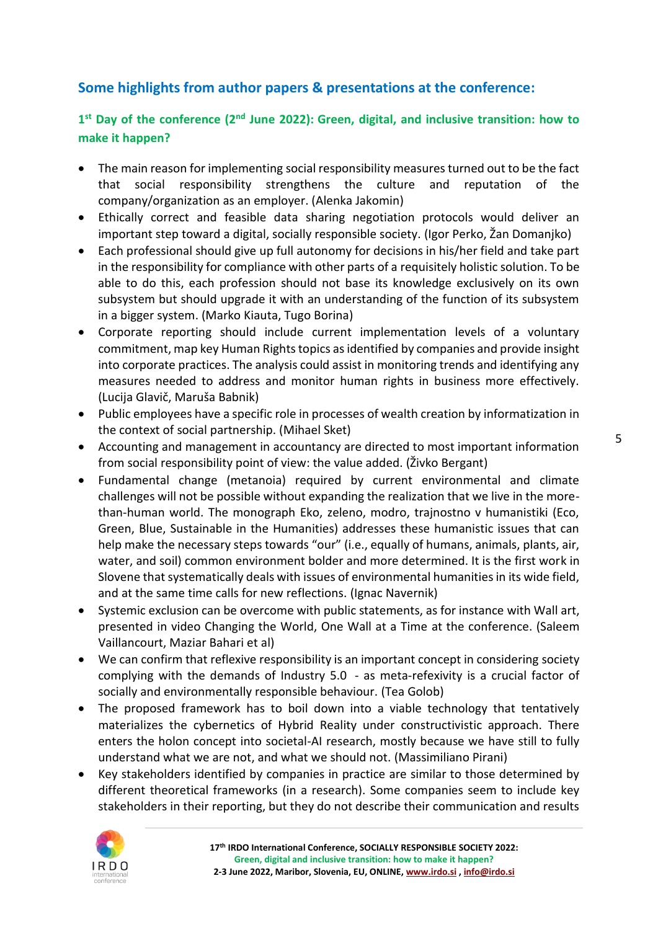# **Some highlights from author papers & presentations at the conference:**

# 1<sup>st</sup> Day of the conference (2<sup>nd</sup> June 2022): Green, digital, and inclusive transition: how to **make it happen?**

- The main reason for implementing social responsibility measures turned out to be the fact that social responsibility strengthens the culture and reputation of the company/organization as an employer. (Alenka Jakomin)
- Ethically correct and feasible data sharing negotiation protocols would deliver an important step toward a digital, socially responsible society. (Igor Perko, Žan Domanjko)
- Each professional should give up full autonomy for decisions in his/her field and take part in the responsibility for compliance with other parts of a requisitely holistic solution. To be able to do this, each profession should not base its knowledge exclusively on its own subsystem but should upgrade it with an understanding of the function of its subsystem in a bigger system. (Marko Kiauta, Tugo Borina)
- Corporate reporting should include current implementation levels of a voluntary commitment, map key Human Rights topics as identified by companies and provide insight into corporate practices. The analysis could assist in monitoring trends and identifying any measures needed to address and monitor human rights in business more effectively. (Lucija Glavič, Maruša Babnik)
- Public employees have a specific role in processes of wealth creation by informatization in the context of social partnership. (Mihael Sket)
- Accounting and management in accountancy are directed to most important information from social responsibility point of view: the value added. (Živko Bergant)
- Fundamental change (metanoia) required by current environmental and climate challenges will not be possible without expanding the realization that we live in the morethan-human world. The monograph Eko, zeleno, modro, trajnostno v humanistiki (Eco, Green, Blue, Sustainable in the Humanities) addresses these humanistic issues that can help make the necessary steps towards "our" (i.e., equally of humans, animals, plants, air, water, and soil) common environment bolder and more determined. It is the first work in Slovene that systematically deals with issues of environmental humanities in its wide field, and at the same time calls for new reflections. (Ignac Navernik)
- Systemic exclusion can be overcome with public statements, as for instance with Wall art, presented in video Changing the World, One Wall at a Time at the conference. (Saleem Vaillancourt, Maziar Bahari et al)
- We can confirm that reflexive responsibility is an important concept in considering society complying with the demands of Industry 5.0 - as meta-refexivity is a crucial factor of socially and environmentally responsible behaviour. (Tea Golob)
- The proposed framework has to boil down into a viable technology that tentatively materializes the cybernetics of Hybrid Reality under constructivistic approach. There enters the holon concept into societal-AI research, mostly because we have still to fully understand what we are not, and what we should not. (Massimiliano Pirani)
- Key stakeholders identified by companies in practice are similar to those determined by different theoretical frameworks (in a research). Some companies seem to include key stakeholders in their reporting, but they do not describe their communication and results

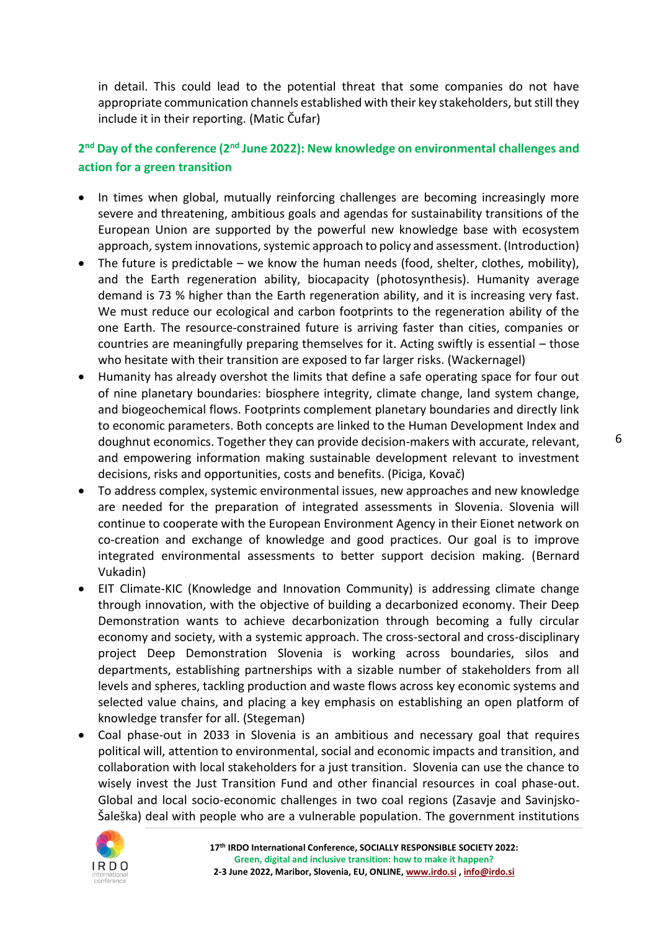in detail. This could lead to the potential threat that some companies do not have appropriate communication channels established with their key stakeholders, but still they include it in their reporting. (Matic Čufar)

# **2 nd Day of the conference (2nd June 2022): New knowledge on environmental challenges and action for a green transition**

- In times when global, mutually reinforcing challenges are becoming increasingly more severe and threatening, ambitious goals and agendas for sustainability transitions of the European Union are supported by the powerful new knowledge base with ecosystem approach, system innovations, systemic approach to policy and assessment. (Introduction)
- The future is predictable we know the human needs (food, shelter, clothes, mobility), and the Earth regeneration ability, biocapacity (photosynthesis). Humanity average demand is 73 % higher than the Earth regeneration ability, and it is increasing very fast. We must reduce our ecological and carbon footprints to the regeneration ability of the one Earth. The resource-constrained future is arriving faster than cities, companies or countries are meaningfully preparing themselves for it. Acting swiftly is essential – those who hesitate with their transition are exposed to far larger risks. (Wackernagel)
- Humanity has already overshot the limits that define a safe operating space for four out of nine planetary boundaries: biosphere integrity, climate change, land system change, and biogeochemical flows. Footprints complement planetary boundaries and directly link to economic parameters. Both concepts are linked to the Human Development Index and doughnut economics. Together they can provide decision-makers with accurate, relevant, and empowering information making sustainable development relevant to investment decisions, risks and opportunities, costs and benefits. (Piciga, Kovač)
- To address complex, systemic environmental issues, new approaches and new knowledge are needed for the preparation of integrated assessments in Slovenia. Slovenia will continue to cooperate with the European Environment Agency in their Eionet network on co-creation and exchange of knowledge and good practices. Our goal is to improve integrated environmental assessments to better support decision making. (Bernard Vukadin)
- EIT Climate-KIC (Knowledge and Innovation Community) is addressing climate change through innovation, with the objective of building a decarbonized economy. Their Deep Demonstration wants to achieve decarbonization through becoming a fully circular economy and society, with a systemic approach. The cross-sectoral and cross-disciplinary project Deep Demonstration Slovenia is working across boundaries, silos and departments, establishing partnerships with a sizable number of stakeholders from all levels and spheres, tackling production and waste flows across key economic systems and selected value chains, and placing a key emphasis on establishing an open platform of knowledge transfer for all. (Stegeman)
- Coal phase-out in 2033 in Slovenia is an ambitious and necessary goal that requires political will, attention to environmental, social and economic impacts and transition, and collaboration with local stakeholders for a just transition. Slovenia can use the chance to wisely invest the Just Transition Fund and other financial resources in coal phase-out. Global and local socio-economic challenges in two coal regions (Zasavje and Savinjsko-Šaleška) deal with people who are a vulnerable population. The government institutions

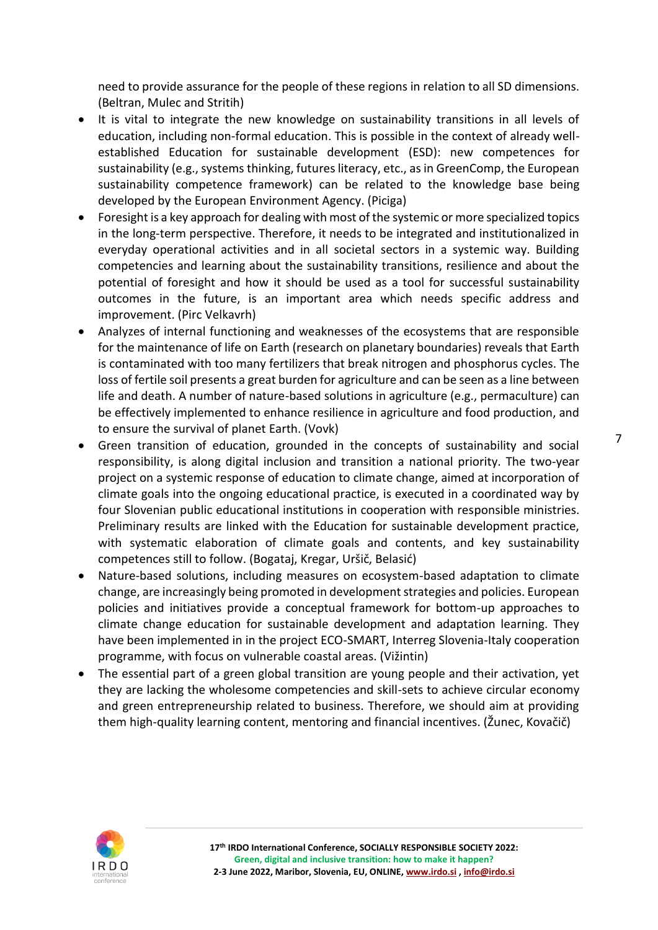need to provide assurance for the people of these regions in relation to all SD dimensions. (Beltran, Mulec and Stritih)

- It is vital to integrate the new knowledge on sustainability transitions in all levels of education, including non-formal education. This is possible in the context of already wellestablished Education for sustainable development (ESD): new competences for sustainability (e.g., systems thinking, futures literacy, etc., as in GreenComp, the European sustainability competence framework) can be related to the knowledge base being developed by the European Environment Agency. (Piciga)
- Foresight is a key approach for dealing with most of the systemic or more specialized topics in the long-term perspective. Therefore, it needs to be integrated and institutionalized in everyday operational activities and in all societal sectors in a systemic way. Building competencies and learning about the sustainability transitions, resilience and about the potential of foresight and how it should be used as a tool for successful sustainability outcomes in the future, is an important area which needs specific address and improvement. (Pirc Velkavrh)
- Analyzes of internal functioning and weaknesses of the ecosystems that are responsible for the maintenance of life on Earth (research on planetary boundaries) reveals that Earth is contaminated with too many fertilizers that break nitrogen and phosphorus cycles. The loss of fertile soil presents a great burden for agriculture and can be seen as a line between life and death. A number of nature-based solutions in agriculture (e.g., permaculture) can be effectively implemented to enhance resilience in agriculture and food production, and to ensure the survival of planet Earth. (Vovk)
- Green transition of education, grounded in the concepts of sustainability and social responsibility, is along digital inclusion and transition a national priority. The two-year project on a systemic response of education to climate change, aimed at incorporation of climate goals into the ongoing educational practice, is executed in a coordinated way by four Slovenian public educational institutions in cooperation with responsible ministries. Preliminary results are linked with the Education for sustainable development practice, with systematic elaboration of climate goals and contents, and key sustainability competences still to follow. (Bogataj, Kregar, Uršič, Belasić)
- Nature-based solutions, including measures on ecosystem-based adaptation to climate change, are increasingly being promoted in development strategies and policies. European policies and initiatives provide a conceptual framework for bottom-up approaches to climate change education for sustainable development and adaptation learning. They have been implemented in in the project ECO-SMART, Interreg Slovenia-Italy cooperation programme, with focus on vulnerable coastal areas. (Vižintin)
- The essential part of a green global transition are young people and their activation, yet they are lacking the wholesome competencies and skill-sets to achieve circular economy and green entrepreneurship related to business. Therefore, we should aim at providing them high-quality learning content, mentoring and financial incentives. (Žunec, Kovačič)

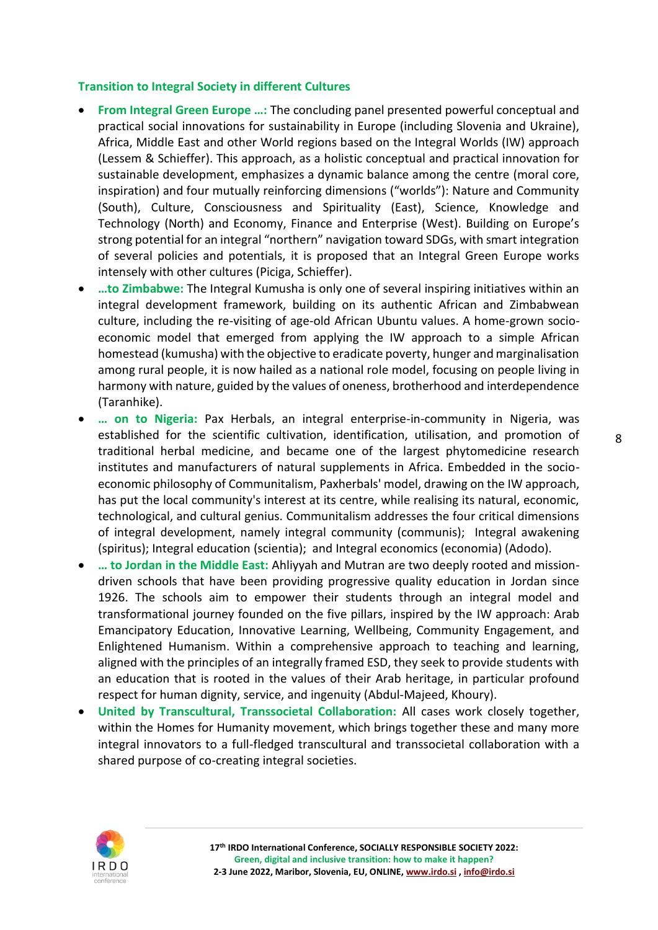#### **Transition to Integral Society in different Cultures**

- **From Integral Green Europe …:** The concluding panel presented powerful conceptual and practical social innovations for sustainability in Europe (including Slovenia and Ukraine), Africa, Middle East and other World regions based on the Integral Worlds (IW) approach (Lessem & Schieffer). This approach, as a holistic conceptual and practical innovation for sustainable development, emphasizes a dynamic balance among the centre (moral core, inspiration) and four mutually reinforcing dimensions ("worlds"): Nature and Community (South), Culture, Consciousness and Spirituality (East), Science, Knowledge and Technology (North) and Economy, Finance and Enterprise (West). Building on Europe's strong potential for an integral "northern" navigation toward SDGs, with smart integration of several policies and potentials, it is proposed that an Integral Green Europe works intensely with other cultures (Piciga, Schieffer).
- **…to Zimbabwe:** The Integral Kumusha is only one of several inspiring initiatives within an integral development framework, building on its authentic African and Zimbabwean culture, including the re-visiting of age-old African Ubuntu values. A home-grown socioeconomic model that emerged from applying the IW approach to a simple African homestead (kumusha) with the objective to eradicate poverty, hunger and marginalisation among rural people, it is now hailed as a national role model, focusing on people living in harmony with nature, guided by the values of oneness, brotherhood and interdependence (Taranhike).
- **… on to Nigeria:** Pax Herbals, an integral enterprise-in-community in Nigeria, was established for the scientific cultivation, identification, utilisation, and promotion of traditional herbal medicine, and became one of the largest phytomedicine research institutes and manufacturers of natural supplements in Africa. Embedded in the socioeconomic philosophy of Communitalism, Paxherbals' model, drawing on the IW approach, has put the local community's interest at its centre, while realising its natural, economic, technological, and cultural genius. Communitalism addresses the four critical dimensions of integral development, namely integral community (communis); Integral awakening (spiritus); Integral education (scientia); and Integral economics (economia) (Adodo).
- **… to Jordan in the Middle East:** Ahliyyah and Mutran are two deeply rooted and missiondriven schools that have been providing progressive quality education in Jordan since 1926. The schools aim to empower their students through an integral model and transformational journey founded on the five pillars, inspired by the IW approach: Arab Emancipatory Education, Innovative Learning, Wellbeing, Community Engagement, and Enlightened Humanism. Within a comprehensive approach to teaching and learning, aligned with the principles of an integrally framed ESD, they seek to provide students with an education that is rooted in the values of their Arab heritage, in particular profound respect for human dignity, service, and ingenuity (Abdul-Majeed, Khoury).
- **United by Transcultural, Transsocietal Collaboration:** All cases work closely together, within the Homes for Humanity movement, which brings together these and many more integral innovators to a full-fledged transcultural and transsocietal collaboration with a shared purpose of co-creating integral societies.

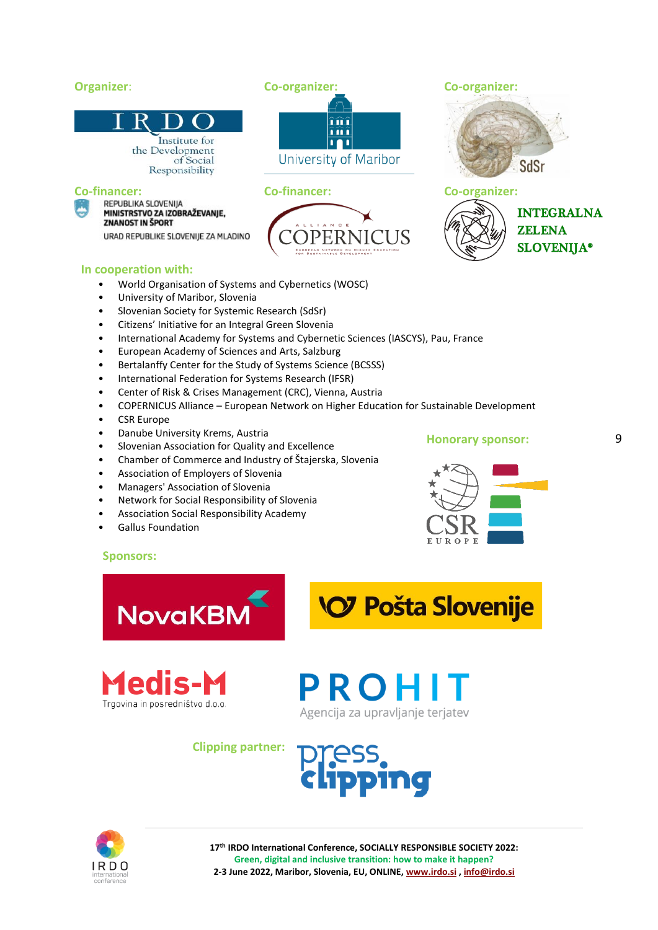#### **Organizer**: **Co-organizer: Co-organizer:** îîî îîî Institute for m the Development University of Maribor of Social SdSr Responsibility **Co-financer: Co-financer: Co-organizer: INTEGRALNA** MINISTRSTVO ZA IZOBRAŽEVANJE, **ZNANOST IN ŠPORT ZELENA** URAD REPUBLIKE SLOVENIJE ZA MLADINO **SLOVENIJA® In cooperation with:** • World Organisation of Systems and Cybernetics (WOSC)

- University of Maribor, Slovenia
- Slovenian Society for Systemic Research (SdSr)
- Citizens' Initiative for an Integral Green Slovenia
- International Academy for Systems and Cybernetic Sciences (IASCYS), Pau, France
- European Academy of Sciences and Arts, Salzburg
- Bertalanffy Center for the Study of Systems Science (BCSSS)
- International Federation for Systems Research (IFSR)
- Center of Risk & Crises Management (CRC), Vienna, Austria
- COPERNICUS Alliance European Network on Higher Education for Sustainable Development
- CSR Europe
- Danube University Krems, Austria
- Slovenian Association for Quality and Excellence
- Chamber of Commerce and Industry of Štajerska, Slovenia
- Association of Employers of Slovenia
- Managers' Association of Slovenia
- Network for Social Responsibility of Slovenia
- Association Social Responsibility Academy
- Gallus Foundation



**Sponsors:**









**Clipping partner:**





**17th IRDO International Conference, SOCIALLY RESPONSIBLE SOCIETY 2022: Green, digital and inclusive transition: how to make it happen? 2-3 June 2022, Maribor, Slovenia, EU, ONLINE[, www.irdo.si](http://www.irdo.si/) [, info@irdo.si](mailto:info@irdo.si)**

**Honorary sponsor:**